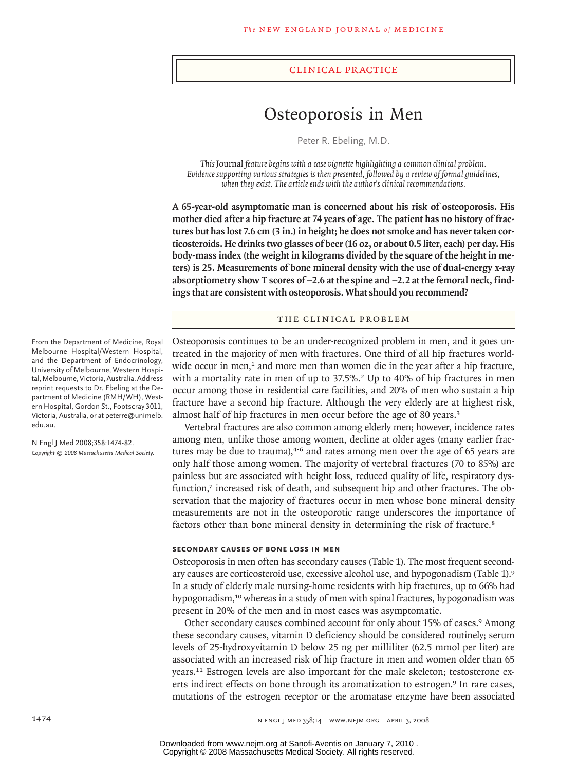#### clinical practice

# Osteoporosis in Men

Peter R. Ebeling, M.D.

*This* Journal *feature begins with a case vignette highlighting a common clinical problem. Evidence supporting various strategies is then presented, followed by a review of formal guidelines, when they exist. The article ends with the author's clinical recommendations.* 

**A 65-year-old asymptomatic man is concerned about his risk of osteoporosis. His mother died after a hip fracture at 74 years of age. The patient has no history of fractures but has lost 7.6 cm (3 in.) in height; he does not smoke and has never taken corticosteroids. He drinks two glasses of beer (16 oz, or about 0.5 liter, each) per day. His body-mass index (the weight in kilograms divided by the square of the height in meters) is 25. Measurements of bone mineral density with the use of dual-energy x-ray absorptiometry show T scores of** −**2.6 at the spine and** −**2.2 at the femoral neck, findings that are consistent with osteoporosis. What should you recommend?**

#### THE CLINICAL PROBLEM

Osteoporosis continues to be an under-recognized problem in men, and it goes untreated in the majority of men with fractures. One third of all hip fractures worldwide occur in men,<sup>1</sup> and more men than women die in the year after a hip fracture, with a mortality rate in men of up to 37.5%.<sup>2</sup> Up to 40% of hip fractures in men occur among those in residential care facilities, and 20% of men who sustain a hip fracture have a second hip fracture. Although the very elderly are at highest risk, almost half of hip fractures in men occur before the age of 80 years.<sup>3</sup>

Vertebral fractures are also common among elderly men; however, incidence rates among men, unlike those among women, decline at older ages (many earlier fractures may be due to trauma), $4-6$  and rates among men over the age of 65 years are only half those among women. The majority of vertebral fractures (70 to 85%) are painless but are associated with height loss, reduced quality of life, respiratory dysfunction,<sup>7</sup> increased risk of death, and subsequent hip and other fractures. The observation that the majority of fractures occur in men whose bone mineral density measurements are not in the osteoporotic range underscores the importance of factors other than bone mineral density in determining the risk of fracture.<sup>8</sup>

#### **Secondary Causes of Bone Loss in Men**

Osteoporosis in men often has secondary causes (Table 1). The most frequent secondary causes are corticosteroid use, excessive alcohol use, and hypogonadism (Table 1).<sup>9</sup> In a study of elderly male nursing-home residents with hip fractures, up to 66% had hypogonadism,10 whereas in a study of men with spinal fractures, hypogonadism was present in 20% of the men and in most cases was asymptomatic.

Other secondary causes combined account for only about 15% of cases.<sup>9</sup> Among these secondary causes, vitamin D deficiency should be considered routinely; serum levels of 25-hydroxyvitamin D below 25 ng per milliliter (62.5 mmol per liter) are associated with an increased risk of hip fracture in men and women older than 65 years.11 Estrogen levels are also important for the male skeleton; testosterone exerts indirect effects on bone through its aromatization to estrogen.<sup>9</sup> In rare cases, mutations of the estrogen receptor or the aromatase enzyme have been associated

From the Department of Medicine, Royal Melbourne Hospital/Western Hospital, and the Department of Endocrinology, University of Melbourne, Western Hospital, Melbourne, Victoria, Australia. Address reprint requests to Dr. Ebeling at the Department of Medicine (RMH/WH), Western Hospital, Gordon St., Footscray 3011, Victoria, Australia, or at peterre@unimelb. edu.au.

N Engl J Med 2008;358:1474-82. *Copyright © 2008 Massachusetts Medical Society.*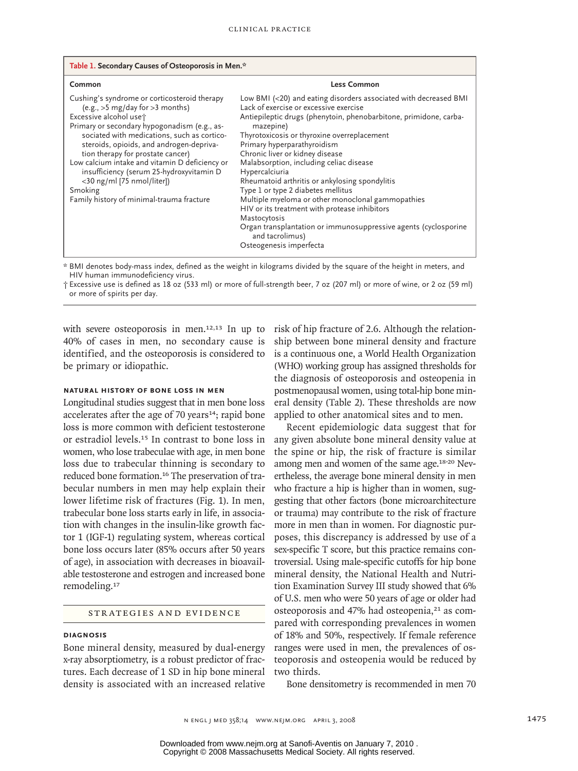| Table 1. Secondary Causes of Osteoporosis in Men.*                                                                                                                                                                                                                                                                                                                                                                                                                                |                                                                                                                                                                                                                                                                                                                                                                                                                                                                                                                                                                                                                                                                                                           |  |  |  |
|-----------------------------------------------------------------------------------------------------------------------------------------------------------------------------------------------------------------------------------------------------------------------------------------------------------------------------------------------------------------------------------------------------------------------------------------------------------------------------------|-----------------------------------------------------------------------------------------------------------------------------------------------------------------------------------------------------------------------------------------------------------------------------------------------------------------------------------------------------------------------------------------------------------------------------------------------------------------------------------------------------------------------------------------------------------------------------------------------------------------------------------------------------------------------------------------------------------|--|--|--|
| Common                                                                                                                                                                                                                                                                                                                                                                                                                                                                            | <b>Less Common</b>                                                                                                                                                                                                                                                                                                                                                                                                                                                                                                                                                                                                                                                                                        |  |  |  |
| Cushing's syndrome or corticosteroid therapy<br>$(e.g., > 5 mg/day for > 3 months)$<br>Excessive alcohol uset<br>Primary or secondary hypogonadism (e.g., as-<br>sociated with medications, such as cortico-<br>steroids, opioids, and androgen-depriva-<br>tion therapy for prostate cancer)<br>Low calcium intake and vitamin D deficiency or<br>insufficiency (serum 25-hydroxyvitamin D<br><30 ng/ml [75 nmol/liter])<br>Smoking<br>Family history of minimal-trauma fracture | Low BMI (<20) and eating disorders associated with decreased BMI<br>Lack of exercise or excessive exercise<br>Antiepileptic drugs (phenytoin, phenobarbitone, primidone, carba-<br>mazepine)<br>Thyrotoxicosis or thyroxine overreplacement<br>Primary hyperparathyroidism<br>Chronic liver or kidney disease<br>Malabsorption, including celiac disease<br>Hypercalciuria<br>Rheumatoid arthritis or ankylosing spondylitis<br>Type 1 or type 2 diabetes mellitus<br>Multiple myeloma or other monoclonal gammopathies<br>HIV or its treatment with protease inhibitors<br>Mastocytosis<br>Organ transplantation or immunosuppressive agents (cyclosporine<br>and tacrolimus)<br>Osteogenesis imperfecta |  |  |  |

\* BMI denotes body-mass index, defined as the weight in kilograms divided by the square of the height in meters, and HIV human immunodeficiency virus.

† Excessive use is defined as 18 oz (533 ml) or more of full-strength beer, 7 oz (207 ml) or more of wine, or 2 oz (59 ml) or more of spirits per day.

with severe osteoporosis in men.<sup>12,13</sup> In up to 40% of cases in men, no secondary cause is identified, and the osteoporosis is considered to be primary or idiopathic.

## **Natural History of Bone Loss in Men**

Longitudinal studies suggest that in men bone loss accelerates after the age of 70 years $14$ ; rapid bone loss is more common with deficient testosterone or estradiol levels.15 In contrast to bone loss in women, who lose trabeculae with age, in men bone loss due to trabecular thinning is secondary to reduced bone formation.16 The preservation of trabecular numbers in men may help explain their lower lifetime risk of fractures (Fig. 1). In men, trabecular bone loss starts early in life, in association with changes in the insulin-like growth factor 1 (IGF-1) regulating system, whereas cortical bone loss occurs later (85% occurs after 50 years of age), in association with decreases in bioavailable testosterone and estrogen and increased bone remodeling.<sup>17</sup>

## STR ATEGIES AND EVIDENCE

#### **Diagnosis**

Bone mineral density, measured by dual-energy x-ray absorptiometry, is a robust predictor of fractures. Each decrease of 1 SD in hip bone mineral density is associated with an increased relative risk of hip fracture of 2.6. Although the relationship between bone mineral density and fracture is a continuous one, a World Health Organization (WHO) working group has assigned thresholds for the diagnosis of osteoporosis and osteopenia in postmenopausal women, using total-hip bone mineral density (Table 2). These thresholds are now applied to other anatomical sites and to men.

Recent epidemiologic data suggest that for any given absolute bone mineral density value at the spine or hip, the risk of fracture is similar among men and women of the same age.18-20 Nevertheless, the average bone mineral density in men who fracture a hip is higher than in women, suggesting that other factors (bone microarchitecture or trauma) may contribute to the risk of fracture more in men than in women. For diagnostic purposes, this discrepancy is addressed by use of a sex-specific T score, but this practice remains controversial. Using male-specific cutoffs for hip bone mineral density, the National Health and Nutrition Examination Survey III study showed that 6% of U.S. men who were 50 years of age or older had osteoporosis and 47% had osteopenia,<sup>21</sup> as compared with corresponding prevalences in women of 18% and 50%, respectively. If female reference ranges were used in men, the prevalences of osteoporosis and osteopenia would be reduced by two thirds.

Bone densitometry is recommended in men 70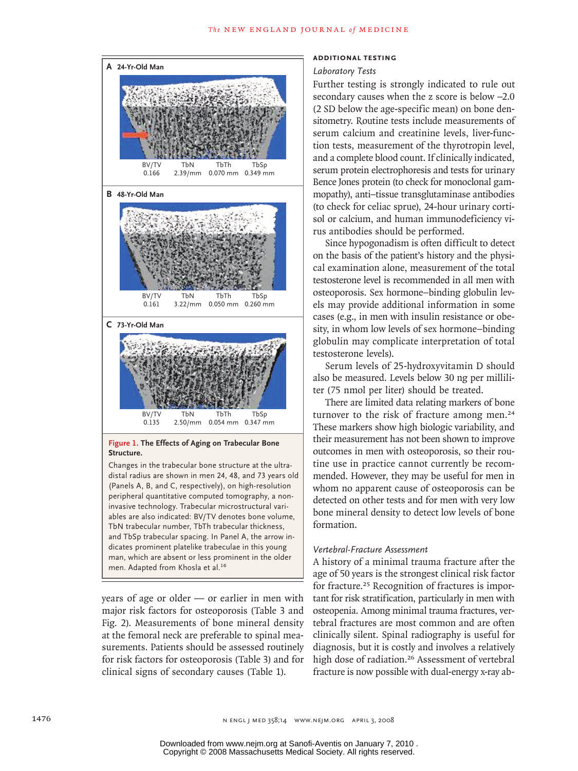#### The NEW ENGLAND JOURNAL of MEDICINE



periprieral quantitative computed tomography, a not<br>invasive technology. Trabecular microstructural variman, which are absent or less prominent in the older peripheral quantitative computed tomography, a non-(Panels A, B, and C, respectively), on high-resolution mvasive teennology: masecalar merostraetariar vari-<br>ables are also indicated: BV/TV denotes bone volume, TbN trabecular number, TbTh trabecular thickness, **FIGURE REDRAW REDRAW REDRAWN CONTROLLER CHECK CARGING THE AND FIGURE 2018** dicates prominent platelike trabeculae in this young men. Adapted from Khosla et al.<sup>16</sup>

years of age or older — or earlier in men with major risk factors for osteoporosis (Table 3 and Fig. 2). Measurements of bone mineral density at the femoral neck are preferable to spinal measurements. Patients should be assessed routinely for risk factors for osteoporosis (Table 3) and for clinical signs of secondary causes (Table 1).

#### **Additional Testing**

#### Laboratory Tests

Further testing is strongly indicated to rule out secondary causes when the z score is below −2.0 (2 SD below the age-specific mean) on bone densitometry. Routine tests include measurements of serum calcium and creatinine levels, liver-function tests, measurement of the thyrotropin level, and a complete blood count. If clinically indicated, serum protein electrophoresis and tests for urinary Bence Jones protein (to check for monoclonal gammopathy), anti–tissue transglutaminase antibodies (to check for celiac sprue), 24-hour urinary cortisol or calcium, and human immunodeficiency virus antibodies should be performed.

Since hypogonadism is often difficult to detect on the basis of the patient's history and the physical examination alone, measurement of the total testosterone level is recommended in all men with osteoporosis. Sex hormone−binding globulin levels may provide additional information in some cases (e.g., in men with insulin resistance or obesity, in whom low levels of sex hormone−binding globulin may complicate interpretation of total testosterone levels).

Serum levels of 25-hydroxyvitamin D should also be measured. Levels below 30 ng per milliliter (75 nmol per liter) should be treated.

There are limited data relating markers of bone turnover to the risk of fracture among men.<sup>24</sup> These markers show high biologic variability, and their measurement has not been shown to improve outcomes in men with osteoporosis, so their routine use in practice cannot currently be recommended. However, they may be useful for men in whom no apparent cause of osteoporosis can be detected on other tests and for men with very low bone mineral density to detect low levels of bone formation.

## *Vertebral-Fracture Assessment*

A history of a minimal trauma fracture after the age of 50 years is the strongest clinical risk factor for fracture.<sup>25</sup> Recognition of fractures is important for risk stratification, particularly in men with osteopenia. Among minimal trauma fractures, vertebral fractures are most common and are often clinically silent. Spinal radiography is useful for diagnosis, but it is costly and involves a relatively high dose of radiation.<sup>26</sup> Assessment of vertebral fracture is now possible with dual-energy x-ray ab-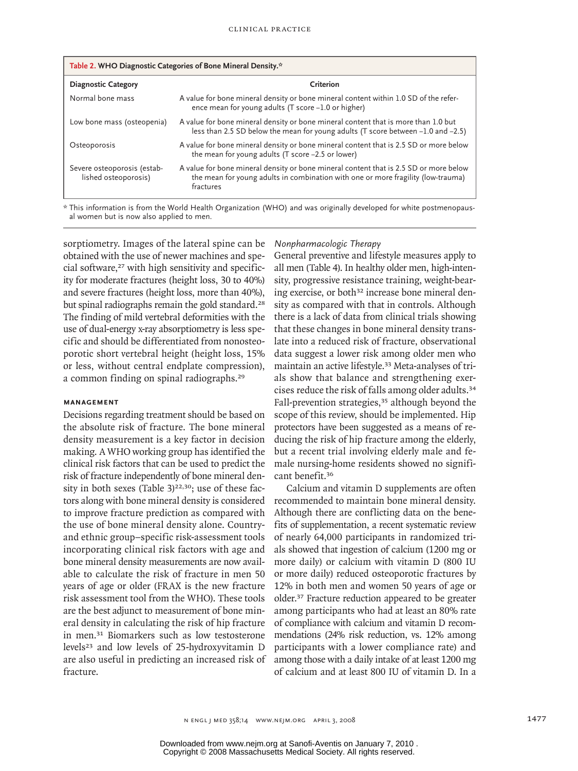| Table 2. WHO Diagnostic Categories of Bone Mineral Density.* |                                                                                                                                                                                        |  |  |  |
|--------------------------------------------------------------|----------------------------------------------------------------------------------------------------------------------------------------------------------------------------------------|--|--|--|
| <b>Diagnostic Category</b>                                   | Criterion                                                                                                                                                                              |  |  |  |
| Normal bone mass                                             | A value for bone mineral density or bone mineral content within 1.0 SD of the refer-<br>ence mean for young adults (T score -1.0 or higher)                                            |  |  |  |
| Low bone mass (osteopenia)                                   | A value for bone mineral density or bone mineral content that is more than 1.0 but<br>less than 2.5 SD below the mean for young adults (T score between -1.0 and -2.5)                 |  |  |  |
| Osteoporosis                                                 | A value for bone mineral density or bone mineral content that is 2.5 SD or more below<br>the mean for young adults (T score -2.5 or lower)                                             |  |  |  |
| Severe osteoporosis (estab-<br>lished osteoporosis)          | A value for bone mineral density or bone mineral content that is 2.5 SD or more below<br>the mean for young adults in combination with one or more fragility (low-trauma)<br>fractures |  |  |  |

\* This information is from the World Health Organization (WHO) and was originally developed for white postmenopausal women but is now also applied to men.

sorptiometry. Images of the lateral spine can be obtained with the use of newer machines and special software,<sup>27</sup> with high sensitivity and specificity for moderate fractures (height loss, 30 to 40%) and severe fractures (height loss, more than 40%), but spinal radiographs remain the gold standard.<sup>28</sup> The finding of mild vertebral deformities with the use of dual-energy x-ray absorptiometry is less specific and should be differentiated from nonosteoporotic short vertebral height (height loss, 15% or less, without central endplate compression), a common finding on spinal radiographs.<sup>29</sup>

## **Management**

Decisions regarding treatment should be based on the absolute risk of fracture. The bone mineral density measurement is a key factor in decision making. A WHO working group has identified the clinical risk factors that can be used to predict the risk of fracture independently of bone mineral density in both sexes (Table  $3)^{22,30}$ ; use of these factors along with bone mineral density is considered to improve fracture prediction as compared with the use of bone mineral density alone. Countryand ethnic group–specific risk-assessment tools incorporating clinical risk factors with age and bone mineral density measurements are now available to calculate the risk of fracture in men 50 years of age or older (FRAX is the new fracture risk assessment tool from the WHO). These tools are the best adjunct to measurement of bone mineral density in calculating the risk of hip fracture in men.31 Biomarkers such as low testosterone levels23 and low levels of 25-hydroxyvitamin D are also useful in predicting an increased risk of fracture.

## *Nonpharmacologic Therapy*

General preventive and lifestyle measures apply to all men (Table 4). In healthy older men, high-intensity, progressive resistance training, weight-bearing exercise, or both<sup>32</sup> increase bone mineral density as compared with that in controls. Although there is a lack of data from clinical trials showing that these changes in bone mineral density translate into a reduced risk of fracture, observational data suggest a lower risk among older men who maintain an active lifestyle.33 Meta-analyses of trials show that balance and strengthening exercises reduce the risk of falls among older adults.<sup>34</sup> Fall-prevention strategies,<sup>35</sup> although beyond the scope of this review, should be implemented. Hip protectors have been suggested as a means of reducing the risk of hip fracture among the elderly, but a recent trial involving elderly male and female nursing-home residents showed no significant benefit.<sup>36</sup>

Calcium and vitamin D supplements are often recommended to maintain bone mineral density. Although there are conflicting data on the benefits of supplementation, a recent systematic review of nearly 64,000 participants in randomized trials showed that ingestion of calcium (1200 mg or more daily) or calcium with vitamin D (800 IU or more daily) reduced osteoporotic fractures by 12% in both men and women 50 years of age or older.37 Fracture reduction appeared to be greater among participants who had at least an 80% rate of compliance with calcium and vitamin D recommendations (24% risk reduction, vs. 12% among participants with a lower compliance rate) and among those with a daily intake of at least 1200 mg of calcium and at least 800 IU of vitamin D. In a

Copyright © 2008 Massachusetts Medical Society. All rights reserved. Downloaded from www.nejm.org at Sanofi-Aventis on January 7, 2010 .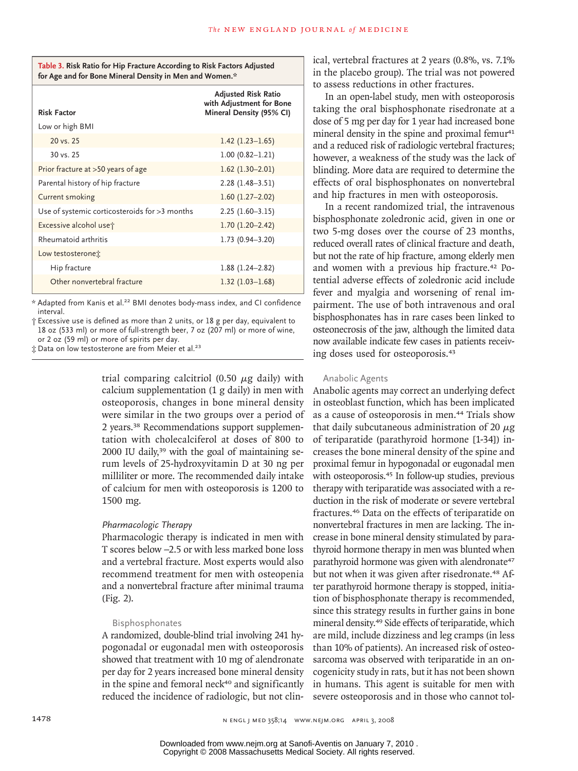| Table 3. Risk Ratio for Hip Fracture According to Risk Factors Adjusted |
|-------------------------------------------------------------------------|
| for Age and for Bone Mineral Density in Men and Women.*                 |

|                                               | <b>Adjusted Risk Ratio</b><br>with Adjustment for Bone |  |
|-----------------------------------------------|--------------------------------------------------------|--|
| <b>Risk Factor</b>                            | Mineral Density (95% CI)                               |  |
| Low or high BMI                               |                                                        |  |
| 20 vs. 25                                     | $1.42$ (1.23–1.65)                                     |  |
| $30 \text{ vs. } 25$                          | $1.00(0.82 - 1.21)$                                    |  |
| Prior fracture at >50 years of age            | $1.62$ (1.30-2.01)                                     |  |
| Parental history of hip fracture              | $2.28(1.48-3.51)$                                      |  |
| Current smoking                               | $1.60(1.27-2.02)$                                      |  |
| Use of systemic corticosteroids for >3 months | $2.25(1.60-3.15)$                                      |  |
| Excessive alcohol use t                       | $1.70(1.20 - 2.42)$                                    |  |
| Rheumatoid arthritis                          | $1.73(0.94 - 3.20)$                                    |  |
| Low testosterone:                             |                                                        |  |
| Hip fracture                                  | $1.88(1.24 - 2.82)$                                    |  |
| Other nonvertebral fracture                   | $1.32(1.03 - 1.68)$                                    |  |

\* Adapted from Kanis et al.22 BMI denotes body-mass index, and CI confidence interval.

† Excessive use is defined as more than 2 units, or 18 g per day, equivalent to 18 oz (533 ml) or more of full-strength beer, 7 oz (207 ml) or more of wine, or 2 oz (59 ml) or more of spirits per day.

 $\ddagger$  Data on low testosterone are from Meier et al.<sup>23</sup>

trial comparing calcitriol (0.50  $\mu$ g daily) with calcium supplementation (1 g daily) in men with osteoporosis, changes in bone mineral density were similar in the two groups over a period of 2 years.38 Recommendations support supplementation with cholecalciferol at doses of 800 to 2000 IU daily,39 with the goal of maintaining serum levels of 25-hydroxyvitamin D at 30 ng per milliliter or more. The recommended daily intake of calcium for men with osteoporosis is 1200 to 1500 mg.

## *Pharmacologic Therapy*

Pharmacologic therapy is indicated in men with T scores below −2.5 or with less marked bone loss and a vertebral fracture. Most experts would also recommend treatment for men with osteopenia and a nonvertebral fracture after minimal trauma (Fig. 2).

#### Bisphosphonates

A randomized, double-blind trial involving 241 hypogonadal or eugonadal men with osteoporosis showed that treatment with 10 mg of alendronate per day for 2 years increased bone mineral density in the spine and femoral neck<sup>40</sup> and significantly reduced the incidence of radiologic, but not clinical, vertebral fractures at 2 years (0.8%, vs. 7.1% in the placebo group). The trial was not powered to assess reductions in other fractures.

In an open-label study, men with osteoporosis taking the oral bisphosphonate risedronate at a dose of 5 mg per day for 1 year had increased bone mineral density in the spine and proximal femur<sup>41</sup> and a reduced risk of radiologic vertebral fractures; however, a weakness of the study was the lack of blinding. More data are required to determine the effects of oral bisphosphonates on nonvertebral and hip fractures in men with osteoporosis.

In a recent randomized trial, the intravenous bisphosphonate zoledronic acid, given in one or two 5-mg doses over the course of 23 months, reduced overall rates of clinical fracture and death, but not the rate of hip fracture, among elderly men and women with a previous hip fracture.<sup>42</sup> Potential adverse effects of zoledronic acid include fever and myalgia and worsening of renal impairment. The use of both intravenous and oral bisphosphonates has in rare cases been linked to osteonecrosis of the jaw, although the limited data now available indicate few cases in patients receiving doses used for osteoporosis.<sup>43</sup>

#### Anabolic Agents

Anabolic agents may correct an underlying defect in osteoblast function, which has been implicated as a cause of osteoporosis in men.44 Trials show that daily subcutaneous administration of 20  $\mu$ g of teriparatide (parathyroid hormone [1-34]) increases the bone mineral density of the spine and proximal femur in hypogonadal or eugonadal men with osteoporosis.<sup>45</sup> In follow-up studies, previous therapy with teriparatide was associated with a reduction in the risk of moderate or severe vertebral fractures.46 Data on the effects of teriparatide on nonvertebral fractures in men are lacking. The increase in bone mineral density stimulated by parathyroid hormone therapy in men was blunted when parathyroid hormone was given with alendronate<sup>47</sup> but not when it was given after risedronate.<sup>48</sup> After parathyroid hormone therapy is stopped, initiation of bisphosphonate therapy is recommended, since this strategy results in further gains in bone mineral density.49 Side effects of teriparatide, which are mild, include dizziness and leg cramps (in less than 10% of patients). An increased risk of osteosarcoma was observed with teriparatide in an oncogenicity study in rats, but it has not been shown in humans. This agent is suitable for men with severe osteoporosis and in those who cannot tol-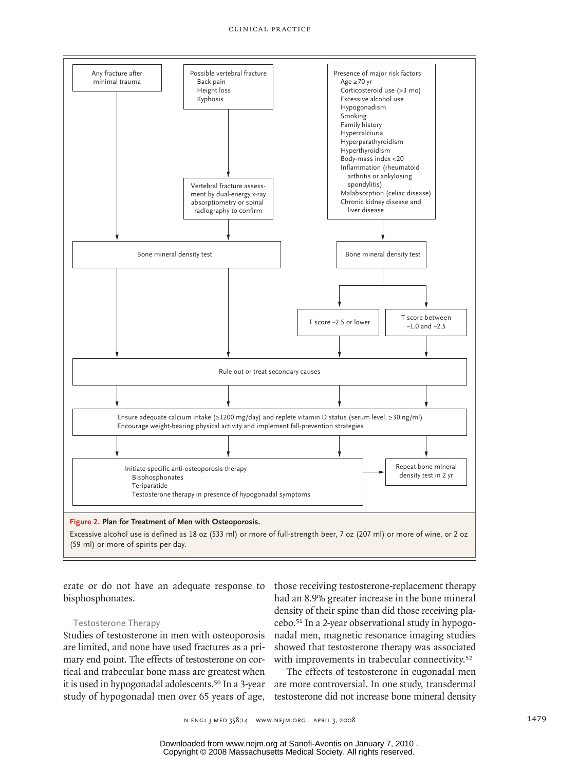#### clinical pr actice



erate or do not have an adequate response to bisphosphonates.

## Testosterone Therapy

Studies of testosterone in men with osteoporosis nadal men, ma are limited, and none have used fractures as a primary end point. The effects of testosterone on cortical and trabecular bone mass are greatest when it is used in hypogonadal adolescents.<sup>50</sup> In a 3-year are more controversial. In one study, transdermal study of hypogonadal men over 65 years of age,

those receiving testosterone-replacement therapy had an 8.9% greater increase in the bone mineral density of their spine than did those receiving placebo.<sup>51</sup> In a 2-year observational study in hypogonadal men, magnetic resonance imaging studies showed that testosterone therapy was associated with improvements in trabecular connectivity.<sup>52</sup>

> The effects of testosterone in eugonadal men testosterone did not increase bone mineral density

Copyright © 2008 Massachusetts Medical Society. All rights reserved. Downloaded from www.nejm.org at Sanofi-Aventis on January 7, 2010 .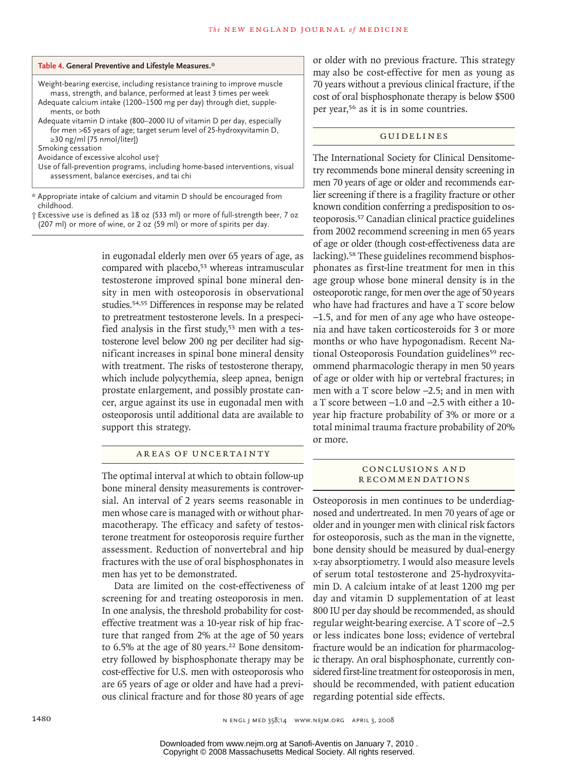| Table 4. General Preventive and Lifestyle Measures.* |  |  |  |
|------------------------------------------------------|--|--|--|
|------------------------------------------------------|--|--|--|

Weight-bearing exercise, including resistance training to improve muscle mass, strength, and balance, performed at least 3 times per week Adequate calcium intake (1200–1500 mg per day) through diet, supplements, or both Adequate vitamin D intake (800–2000 IU of vitamin D per day, especially

for men >65 years of age; target serum level of 25-hydroxyvitamin D, ≥30 ng/ml [75 nmol/liter]) Smoking cessation

Avoidance of excessive alcohol use†

Use of fall-prevention programs, including home-based interventions, visual assessment, balance exercises, and tai chi

\* Appropriate intake of calcium and vitamin D should be encouraged from childhood.

† Excessive use is defined as 18 oz (533 ml) or more of full-strength beer, 7 oz (207 ml) or more of wine, or 2 oz (59 ml) or more of spirits per day.

> in eugonadal elderly men over 65 years of age, as compared with placebo,<sup>53</sup> whereas intramuscular testosterone improved spinal bone mineral density in men with osteoporosis in observational studies.54,55 Differences in response may be related to pretreatment testosterone levels. In a prespecified analysis in the first study,<sup>53</sup> men with a testosterone level below 200 ng per deciliter had significant increases in spinal bone mineral density with treatment. The risks of testosterone therapy, which include polycythemia, sleep apnea, benign prostate enlargement, and possibly prostate cancer, argue against its use in eugonadal men with osteoporosis until additional data are available to support this strategy.

## AREAS OF UNCERTAINTY

The optimal interval at which to obtain follow-up bone mineral density measurements is controversial. An interval of 2 years seems reasonable in men whose care is managed with or without pharmacotherapy. The efficacy and safety of testosterone treatment for osteoporosis require further assessment. Reduction of nonvertebral and hip fractures with the use of oral bisphosphonates in men has yet to be demonstrated.

Data are limited on the cost-effectiveness of screening for and treating osteoporosis in men. In one analysis, the threshold probability for costeffective treatment was a 10-year risk of hip fracture that ranged from 2% at the age of 50 years to 6.5% at the age of 80 years.<sup>22</sup> Bone densitometry followed by bisphosphonate therapy may be cost-effective for U.S. men with osteoporosis who are 65 years of age or older and have had a previous clinical fracture and for those 80 years of age

or older with no previous fracture. This strategy may also be cost-effective for men as young as 70 years without a previous clinical fracture, if the cost of oral bisphosphonate therapy is below \$500 per year,56 as it is in some countries.

#### **GUIDELINES**

The International Society for Clinical Densitometry recommends bone mineral density screening in men 70 years of age or older and recommends earlier screening if there is a fragility fracture or other known condition conferring a predisposition to osteoporosis.57 Canadian clinical practice guidelines from 2002 recommend screening in men 65 years of age or older (though cost-effectiveness data are lacking).58 These guidelines recommend bisphosphonates as first-line treatment for men in this age group whose bone mineral density is in the osteoporotic range, for men over the age of 50 years who have had fractures and have a T score below −1.5, and for men of any age who have osteopenia and have taken corticosteroids for 3 or more months or who have hypogonadism. Recent National Osteoporosis Foundation guidelines<sup>59</sup> recommend pharmacologic therapy in men 50 years of age or older with hip or vertebral fractures; in men with a T score below −2.5; and in men with a T score between −1.0 and −2.5 with either a 10 year hip fracture probability of 3% or more or a total minimal trauma fracture probability of 20% or more.

#### Conclusions a nd **RECOMMENDATIONS**

Osteoporosis in men continues to be underdiagnosed and undertreated. In men 70 years of age or older and in younger men with clinical risk factors for osteoporosis, such as the man in the vignette, bone density should be measured by dual-energy x-ray absorptiometry. I would also measure levels of serum total testosterone and 25-hydroxyvitamin D. A calcium intake of at least 1200 mg per day and vitamin D supplementation of at least 800 IU per day should be recommended, as should regular weight-bearing exercise. A T score of −2.5 or less indicates bone loss; evidence of vertebral fracture would be an indication for pharmacologic therapy. An oral bisphosphonate, currently considered first-line treatment for osteoporosis in men, should be recommended, with patient education regarding potential side effects.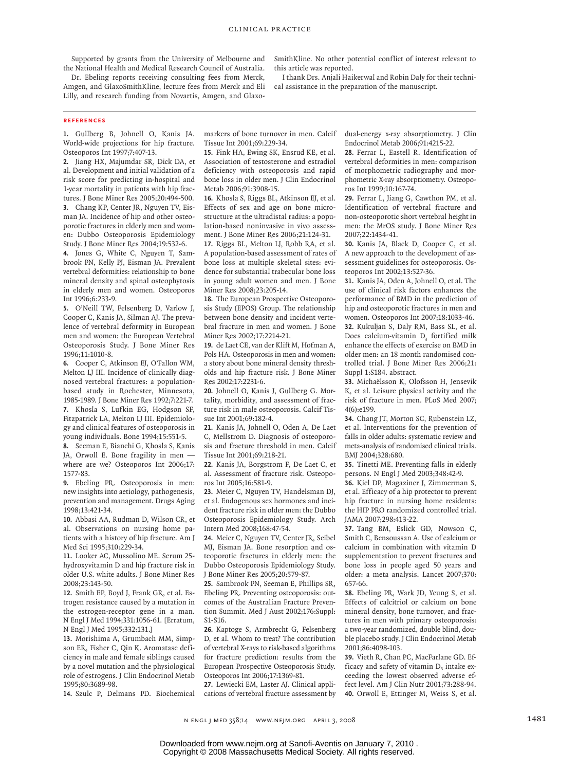Supported by grants from the University of Melbourne and the National Health and Medical Research Council of Australia.

Dr. Ebeling reports receiving consulting fees from Merck, Amgen, and GlaxoSmithKline, lecture fees from Merck and Eli Lilly, and research funding from Novartis, Amgen, and GlaxoSmithKline. No other potential conflict of interest relevant to this article was reported.

I thank Drs. Anjali Haikerwal and Robin Daly for their technical assistance in the preparation of the manuscript.

#### **References**

1. Gullberg B, Johnell O, Kanis JA. World-wide projections for hip fracture. Osteoporos Int 1997;7:407-13.

2. Jiang HX, Majumdar SR, Dick DA, et al. Development and initial validation of a risk score for predicting in-hospital and 1-year mortality in patients with hip fractures. J Bone Miner Res 2005;20:494-500. Chang KP, Center JR, Nguyen TV, Eis-**3.** man JA. Incidence of hip and other osteoporotic fractures in elderly men and women: Dubbo Osteoporosis Epidemiology Study. J Bone Miner Res 2004;19:532-6.

Jones G, White C, Nguyen T, Sam-**4.** brook PN, Kelly PJ, Eisman JA. Prevalent vertebral deformities: relationship to bone mineral density and spinal osteophytosis in elderly men and women. Osteoporos Int 1996;6:233-9.

O'Neill TW, Felsenberg D, Varlow J, **5.** Cooper C, Kanis JA, Silman AJ. The prevalence of vertebral deformity in European men and women: the European Vertebral Osteoporosis Study. J Bone Miner Res 1996;11:1010-8.

6. Cooper C, Atkinson EJ, O'Fallon WM, Melton LJ III. Incidence of clinically diagnosed vertebral fractures: a populationbased study in Rochester, Minnesota, 1985-1989. J Bone Miner Res 1992;7:221-7. 7. Khosla S, Lufkin EG, Hodgson SF, Fitzpatrick LA, Melton LJ III. Epidemiology and clinical features of osteoporosis in young individuals. Bone 1994;15:551-5.

Seeman E, Bianchi G, Khosla S, Kanis **8.** JA, Orwoll E. Bone fragility in men where are we? Osteoporos Int 2006;17: 1577-83.

Ebeling PR. Osteoporosis in men: **9.** new insights into aetiology, pathogenesis, prevention and management. Drugs Aging 1998;13:421-34.

10. Abbasi AA, Rudman D, Wilson CR, et al. Observations on nursing home patients with a history of hip fracture. Am J Med Sci 1995;310:229-34.

11. Looker AC, Mussolino ME. Serum 25hydroxyvitamin D and hip fracture risk in older U.S. white adults. J Bone Miner Res 2008;23:143-50.

12. Smith EP, Boyd J, Frank GR, et al. Estrogen resistance caused by a mutation in the estrogen-receptor gene in a man. N Engl J Med 1994;331:1056-61. [Erratum, N Engl J Med 1995;332:131.]

13. Morishima A, Grumbach MM, Simpson ER, Fisher C, Qin K. Aromatase deficiency in male and female siblings caused by a novel mutation and the physiological role of estrogens. J Clin Endocrinol Metab 1995;80:3689-98.

14. Szulc P, Delmans PD. Biochemical

markers of bone turnover in men. Calcif Tissue Int 2001;69:229-34.

15. Fink HA, Ewing SK, Ensrud KE, et al. Association of testosterone and estradiol deficiency with osteoporosis and rapid bone loss in older men. J Clin Endocrinol Metab 2006;91:3908-15.

16. Khosla S, Riggs BL, Atkinson EJ, et al. Effects of sex and age on bone microstructure at the ultradistal radius: a population-based noninvasive in vivo assessment. J Bone Miner Res 2006;21:124-31.

17. Riggs BL, Melton LJ, Robb RA, et al. A population-based assessment of rates of bone loss at multiple skeletal sites: evidence for substantial trabecular bone loss in young adult women and men. J Bone Miner Res 2008;23:205-14.

18. The European Prospective Osteoporosis Study (EPOS) Group. The relationship between bone density and incident vertebral fracture in men and women. J Bone Miner Res 2002;17:2214-21.

19. de Laet CE, van der Klift M, Hofman A, Pols HA. Osteoporosis in men and women: a story about bone mineral density thresholds and hip fracture risk. J Bone Miner Res 2002;17:2231-6.

20. Johnell O, Kanis J, Gullberg G. Mortality, morbidity, and assessment of fracture risk in male osteoporosis. Calcif Tissue Int 2001;69:182-4.

21. Kanis JA, Johnell O, Oden A, De Laet C, Mellstrom D. Diagnosis of osteoporosis and fracture threshold in men. Calcif Tissue Int 2001;69:218-21.

22. Kanis JA, Borgstrom F, De Laet C, et al. Assessment of fracture risk. Osteoporos Int 2005;16:581-9.

23. Meier C, Nguyen TV, Handelsman DJ, et al. Endogenous sex hormones and incident fracture risk in older men: the Dubbo Osteoporosis Epidemiology Study. Arch Intern Med 2008;168:47-54.

24. Meier C, Nguyen TV, Center JR, Seibel MJ, Eisman JA. Bone resorption and osteoporotic fractures in elderly men: the Dubbo Osteoporosis Epidemiology Study. J Bone Miner Res 2005;20:579-87.

25. Sambrook PN, Seeman E, Phillips SR, Ebeling PR. Preventing osteoporosis: outcomes of the Australian Fracture Prevention Summit. Med J Aust 2002;176:Suppl: S1-S16.

26. Kaptoge S, Armbrecht G, Felsenberg D, et al. Whom to treat? The contribution of vertebral X-rays to risk-based algorithms for fracture prediction: results from the European Prospective Osteoporosis Study. Osteoporos Int 2006;17:1369-81.

27. Lewiecki EM, Laster AJ. Clinical applications of vertebral fracture assessment by dual-energy x-ray absorptiometry. J Clin Endocrinol Metab 2006;91:4215-22.

Ferrar L, Eastell R. Identification of **28.** vertebral deformities in men: comparison of morphometric radiography and morphometric X-ray absorptiometry. Osteoporos Int 1999;10:167-74.

29. Ferrar L, Jiang G, Cawthon PM, et al. Identification of vertebral fracture and non-osteoporotic short vertebral height in men: the MrOS study. J Bone Miner Res 2007;22:1434-41.

30. Kanis JA, Black D, Cooper C, et al. A new approach to the development of assessment guidelines for osteoporosis. Osteoporos Int 2002;13:527-36.

31. Kanis JA, Oden A, Johnell O, et al. The use of clinical risk factors enhances the performance of BMD in the prediction of hip and osteoporotic fractures in men and women. Osteoporos Int 2007;18:1033-46. 32. Kukuljan S, Daly RM, Bass SL, et al. Does calcium-vitamin  $D_{3}$  fortified milk enhance the effects of exercise on BMD in older men: an 18 month randomised controlled trial. J Bone Miner Res 2006;21: Suppl 1:S184. abstract.

Michaëlsson K, Olofsson H, Jensevik **33.** K, et al. Leisure physical activity and the risk of fracture in men. PLoS Med 2007; 4(6):e199.

Chang JT, Morton SC, Rubenstein LZ, **34.** et al. Interventions for the prevention of falls in older adults: systematic review and meta-analysis of randomised clinical trials. BMJ 2004;328:680.

35. Tinetti ME. Preventing falls in elderly persons. N Engl J Med 2003;348:42-9.

36. Kiel DP, Magaziner J, Zimmerman S, et al. Efficacy of a hip protector to prevent hip fracture in nursing home residents: the HIP PRO randomized controlled trial. JAMA 2007;298:413-22.

37. Tang BM, Eslick GD, Nowson C, Smith C, Bensoussan A. Use of calcium or calcium in combination with vitamin D supplementation to prevent fractures and bone loss in people aged 50 years and older: a meta analysis. Lancet 2007;370: 657-66.

Ebeling PR, Wark JD, Yeung S, et al. **38.** Effects of calcitriol or calcium on bone mineral density, bone turnover, and fractures in men with primary osteoporosis: a two-year randomized, double blind, double placebo study. J Clin Endocrinol Metab 2001;86:4098-103.

39. Vieth R, Chan PC, MacFarlane GD. Efficacy and safety of vitamin  $D<sub>3</sub>$  intake exceeding the lowest observed adverse effect level. Am J Clin Nutr 2001;73:288-94. 40. Orwoll E, Ettinger M, Weiss S, et al.